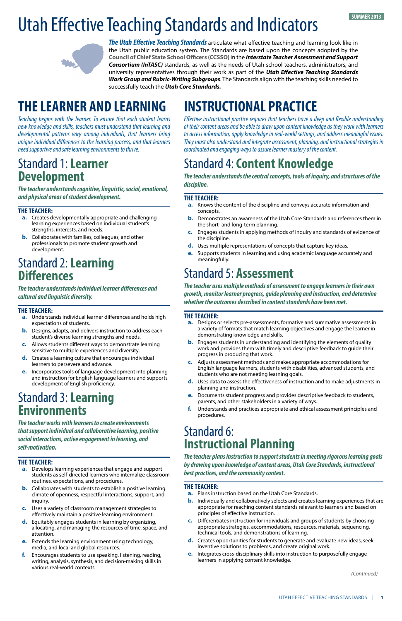# **THE LEARNER AND LEARNING**

*Teaching begins with the learner. To ensure that each student learns new knowledge and skills, teachers must understand that learning and developmental patterns vary among individuals, that learners bring unique individual differences to the learning process, and that learners need supportive and safe learning environments to thrive.*

## Standard 1: **Learner Development**

*The teacher understands cognitive, linguistic, social, emotional, and physical areas of student development.* 

#### **THE TEACHER:**

- **a.** Creates developmentally appropriate and challenging learning experiences based on individual student's strengths, interests, and needs.
- **b.** Collaborates with families, colleagues, and other professionals to promote student growth and development.

# Standard 2: **Learning Differences**

*The teacher understands individual learner differences and cultural and linguistic diversity.*

#### **THE TEACHER:**

- **a.** Understands individual learner differences and holds high expectations of students.
- **b.** Designs, adapts, and delivers instruction to address each student's diverse learning strengths and needs.
- **c.** Allows students different ways to demonstrate learning sensitive to multiple experiences and diversity.
- **d.** Creates a learning culture that encourages individual learners to persevere and advance.
- **e.** Incorporates tools of language development into planning and instruction for English language learners and supports development of English proficiency.

### Standard 3: **Learning Environments**

*The teacher works with learners to create environments that support individual and collaborative learning, positive social interactions, active engagement in learning, and self-motivation.*

#### **THE TEACHER:**

- **a.** Develops learning experiences that engage and support students as self-directed learners who internalize classroom routines, expectations, and procedures.
- **b.** Collaborates with students to establish a positive learning climate of openness, respectful interactions, support, and inquiry.
- **c.** Uses a variety of classroom management strategies to effectively maintain a positive learning environment.
- **d.** Equitably engages students in learning by organizing, allocating, and managing the resources of time, space, and attention.
- **e.** Extends the learning environment using technology, media, and local and global resources.
- **f.** Encourages students to use speaking, listening, reading, writing, analysis, synthesis, and decision-making skills in various real-world contexts.

# Utah Effective Teaching Standards and Indicators



*The Utah Effective Teaching Standards* articulate what effective teaching and learning look like in the Utah public education system. The Standards are based upon the concepts adopted by the **Council of Chief State School Officers (CCSSO)** in the *Interstate Teacher Assessment and Support Consortium (InTASC)* standards, as well as the needs of Utah school teachers, administrators, and university representatives through their work as part of the *Utah Effective Teaching Standards Work Group and Rubric-Writing Subgroups*. The Standards align with the teaching skills needed to successfully teach the *Utah Core Standards.*

# **INSTRUCTIONAL PRACTICE**

*Effective instructional practice requires that teachers have a deep and flexible understanding of their content areas and be able to draw upon content knowledge as they work with learners to access information, apply knowledge in real-world settings, and address meaningful issues. They must also understand and integrate assessment, planning, and instructional strategies in coordinated and engaging ways to assure learner mastery of the content.*

# Standard 4: **Content Knowledge**

*The teacher understands the central concepts, tools of inquiry, and structures of the discipline.* 

#### **THE TEACHER:**

- **a.** Knows the content of the discipline and conveys accurate information and concepts.
- **b.** Demonstrates an awareness of the Utah Core Standards and references them in the short- and long-term planning.
- **c.** Engages students in applying methods of inquiry and standards of evidence of the discipline.
- **d.** Uses multiple representations of concepts that capture key ideas.
- **e.** Supports students in learning and using academic language accurately and meaningfully.

# Standard 5: **Assessment**

*The teacher uses multiple methods of assessment to engage learners in their own growth, monitor learner progress, guide planning and instruction, and determine whether the outcomes described in content standards have been met.*

#### **THE TEACHER:**

- **a.** Designs or selects pre-assessments, formative and summative assessments in a variety of formats that match learning objectives and engage the learner in demonstrating knowledge and skills.
- **b.** Engages students in understanding and identifying the elements of quality work and provides them with timely and descriptive feedback to guide their progress in producing that work.
- **c.** Adjusts assessment methods and makes appropriate accommodations for English language learners, students with disabilities, advanced students, and students who are not meeting learning goals.
- **d.** Uses data to assess the effectiveness of instruction and to make adjustments in planning and instruction.
- **e.** Documents student progress and provides descriptive feedback to students, parents, and other stakeholders in a variety of ways.
- **f.** Understands and practices appropriate and ethical assessment principles and procedures.

### Standard 6: **Instructional Planning**

*The teacher plans instruction to support students in meeting rigorous learning goals by drawing upon knowledge of content areas, Utah Core Standards, instructional best practices, and the community context.*

#### **THE TEACHER:**

- **a.** Plans instruction based on the Utah Core Standards.
- **b.** Individually and collaboratively selects and creates learning experiences that are appropriate for reaching content standards relevant to learners and based on principles of effective instruction.
- **c.** Differentiates instruction for individuals and groups of students by choosing appropriate strategies, accommodations, resources, materials, sequencing, technical tools, and demonstrations of learning.
- **d.** Creates opportunities for students to generate and evaluate new ideas, seek inventive solutions to problems, and create original work.
- **e.** Integrates cross-disciplinary skills into instruction to purposefully engage learners in applying content knowledge.

*(Continued)*